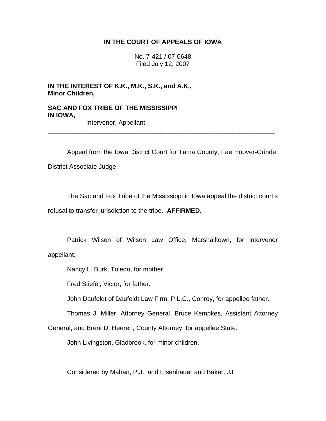# **IN THE COURT OF APPEALS OF IOWA**

No. 7-421 / 07-0648 Filed July 12, 2007

**IN THE INTEREST OF K.K., M.K., S.K., and A.K., Minor Children,** 

**SAC AND FOX TRIBE OF THE MISSISSIPPI IN IOWA,** 

Intervenor, Appellant.

 Appeal from the Iowa District Court for Tama County, Fae Hoover-Grinde, District Associate Judge.

\_\_\_\_\_\_\_\_\_\_\_\_\_\_\_\_\_\_\_\_\_\_\_\_\_\_\_\_\_\_\_\_\_\_\_\_\_\_\_\_\_\_\_\_\_\_\_\_\_\_\_\_\_\_\_\_\_\_\_\_\_\_\_\_

 The Sac and Fox Tribe of the Mississippi in Iowa appeal the district court's refusal to transfer jurisdiction to the tribe. **AFFIRMED.** 

 Patrick Wilson of Wilson Law Office, Marshalltown, for intervenor appellant.

Nancy L. Burk, Toledo, for mother.

Fred Stiefel, Victor, for father.

John Daufeldt of Daufeldt Law Firm, P.L.C., Conroy, for appellee father.

Thomas J. Miller, Attorney General, Bruce Kempkes, Assistant Attorney

General, and Brent D. Heeren, County Attorney, for appellee State.

John Livingston, Gladbrook, for minor children.

Considered by Mahan, P.J., and Eisenhauer and Baker, JJ.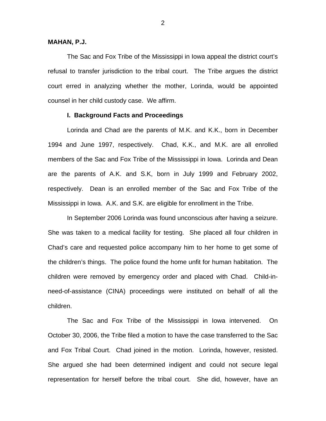#### **MAHAN, P.J.**

 The Sac and Fox Tribe of the Mississippi in Iowa appeal the district court's refusal to transfer jurisdiction to the tribal court. The Tribe argues the district court erred in analyzing whether the mother, Lorinda, would be appointed counsel in her child custody case. We affirm.

#### **I. Background Facts and Proceedings**

 Lorinda and Chad are the parents of M.K. and K.K., born in December 1994 and June 1997, respectively. Chad, K.K., and M.K. are all enrolled members of the Sac and Fox Tribe of the Mississippi in Iowa. Lorinda and Dean are the parents of A.K. and S.K, born in July 1999 and February 2002, respectively. Dean is an enrolled member of the Sac and Fox Tribe of the Mississippi in Iowa. A.K. and S.K. are eligible for enrollment in the Tribe.

 In September 2006 Lorinda was found unconscious after having a seizure. She was taken to a medical facility for testing. She placed all four children in Chad's care and requested police accompany him to her home to get some of the children's things. The police found the home unfit for human habitation. The children were removed by emergency order and placed with Chad. Child-inneed-of-assistance (CINA) proceedings were instituted on behalf of all the children.

 The Sac and Fox Tribe of the Mississippi in Iowa intervened. On October 30, 2006, the Tribe filed a motion to have the case transferred to the Sac and Fox Tribal Court. Chad joined in the motion. Lorinda, however, resisted. She argued she had been determined indigent and could not secure legal representation for herself before the tribal court. She did, however, have an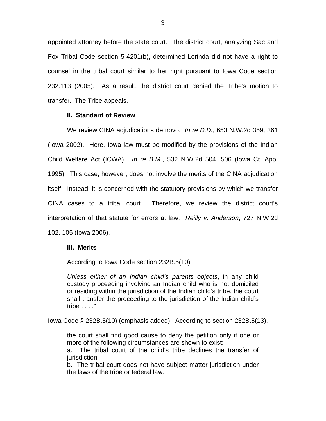appointed attorney before the state court. The district court, analyzing Sac and Fox Tribal Code section 5-4201(b), determined Lorinda did not have a right to counsel in the tribal court similar to her right pursuant to Iowa Code section 232.113 (2005). As a result, the district court denied the Tribe's motion to transfer. The Tribe appeals.

## **II. Standard of Review**

 We review CINA adjudications de novo. *In re D.D.*, 653 N.W.2d 359, 361 (Iowa 2002). Here, Iowa law must be modified by the provisions of the Indian Child Welfare Act (ICWA). *In re B.M.*, 532 N.W.2d 504, 506 (Iowa Ct. App. 1995). This case, however, does not involve the merits of the CINA adjudication itself. Instead, it is concerned with the statutory provisions by which we transfer CINA cases to a tribal court. Therefore, we review the district court's interpretation of that statute for errors at law. *Reilly v. Anderson*, 727 N.W.2d 102, 105 (Iowa 2006).

## **III. Merits**

According to Iowa Code section 232B.5(10)

*Unless either of an Indian child's parents objects*, in any child custody proceeding involving an Indian child who is not domiciled or residing within the jurisdiction of the Indian child's tribe, the court shall transfer the proceeding to the jurisdiction of the Indian child's tribe . . . ."

Iowa Code § 232B.5(10) (emphasis added). According to section 232B.5(13),

the court shall find good cause to deny the petition only if one or more of the following circumstances are shown to exist:

a. The tribal court of the child's tribe declines the transfer of jurisdiction.

b. The tribal court does not have subject matter jurisdiction under the laws of the tribe or federal law.